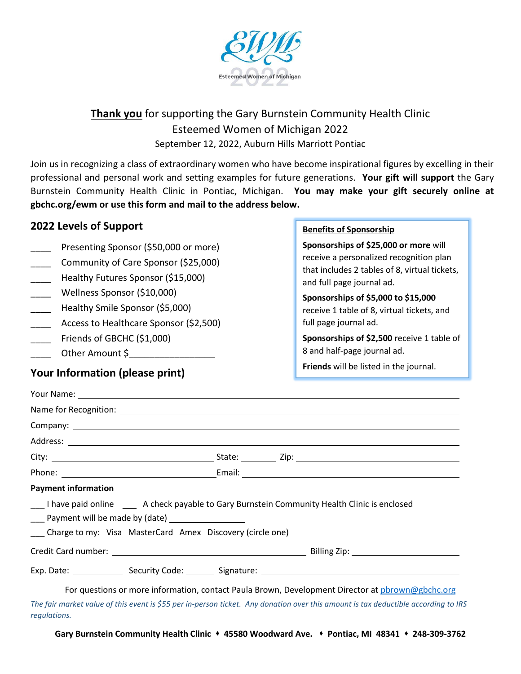

# **Thank you** for supporting the Gary Burnstein Community Health Clinic Esteemed Women of Michigan 2022 September 12, 2022, Auburn Hills Marriott Pontiac

Join us in recognizing a class of extraordinary women who have become inspirational figures by excelling in their professional and personal work and setting examples for future generations. **Your gift will support** the Gary Burnstein Community Health Clinic in Pontiac, Michigan. **You may make your gift securely online at gbchc.org/ewm or use this form and mail to the address below.**

#### **2022 Levels of Support**

- Presenting Sponsor (\$50,000 or more)
- \_\_\_\_ Community of Care Sponsor (\$25,000)
- Healthy Futures Sponsor (\$15,000)
- \_\_\_\_ Wellness Sponsor (\$10,000)
- Healthy Smile Sponsor (\$5,000)
- Access to Healthcare Sponsor (\$2,500)
- Friends of GBCHC (\$1,000)
- \_\_\_\_ Other Amount \$\_\_\_\_\_\_\_\_\_\_\_\_\_\_\_\_\_

### **Your Information (please print)**

#### **Benefits of Sponsorship**

**Sponsorships of \$25,000 or more** will receive a personalized recognition plan that includes 2 tables of 8, virtual tickets, and full page journal ad.

**Sponsorships of \$5,000 to \$15,000** receive 1 table of 8, virtual tickets, and full page journal ad.

**Sponsorships of \$2,500** receive 1 table of 8 and half-page journal ad.

**Friends** will be listed in the journal.

| Your Name: Name and South Article of the Contract of the Contract of the Contract of the Contract of the Contract of the Contract of the Contract of the Contract of the Contract of the Contract of the Contract of the Contr |                                                                                                      |
|--------------------------------------------------------------------------------------------------------------------------------------------------------------------------------------------------------------------------------|------------------------------------------------------------------------------------------------------|
|                                                                                                                                                                                                                                |                                                                                                      |
|                                                                                                                                                                                                                                |                                                                                                      |
|                                                                                                                                                                                                                                |                                                                                                      |
|                                                                                                                                                                                                                                |                                                                                                      |
|                                                                                                                                                                                                                                |                                                                                                      |
| <b>Payment information</b>                                                                                                                                                                                                     |                                                                                                      |
| ___ I have paid online ____ A check payable to Gary Burnstein Community Health Clinic is enclosed                                                                                                                              |                                                                                                      |
| ___ Payment will be made by (date) _________________                                                                                                                                                                           |                                                                                                      |
| Charge to my: Visa MasterCard Amex Discovery (circle one)                                                                                                                                                                      |                                                                                                      |
|                                                                                                                                                                                                                                |                                                                                                      |
|                                                                                                                                                                                                                                | Exp. Date: ___________________Security Code: __________Signature: __________________________________ |
|                                                                                                                                                                                                                                | For questions or more information, contact Paula Brown, Development Director at pbrown@gbchc.org     |

*The fair market value of this event is \$55 per in-person ticket. Any donation over this amount is tax deductible according to IRS regulations.*